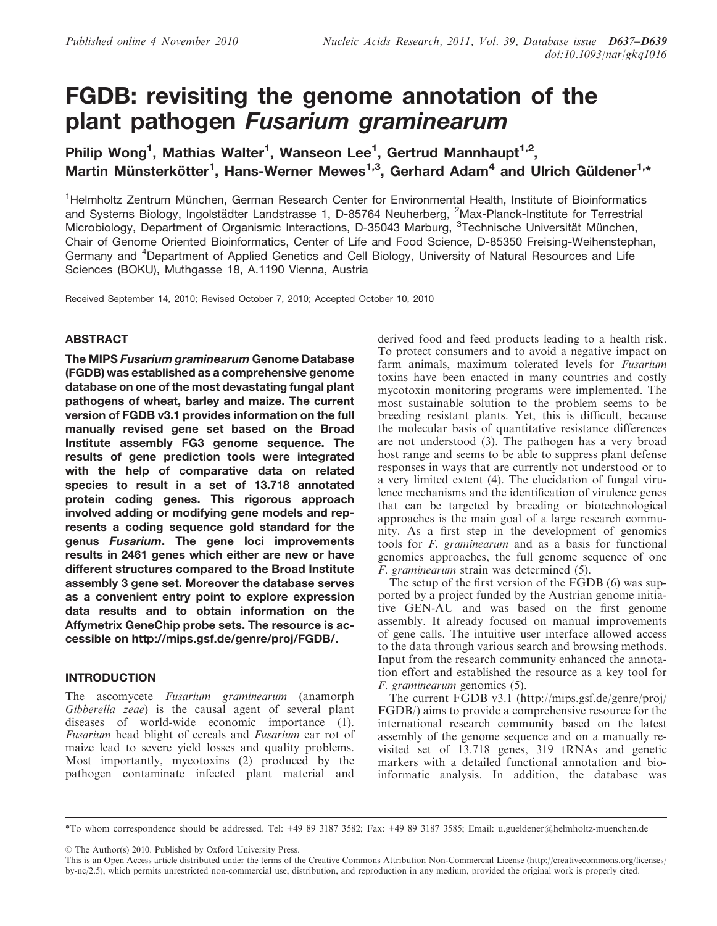# FGDB: revisiting the genome annotation of the plant pathogen Fusarium graminearum

Philip Wong<sup>1</sup>, Mathias Walter<sup>1</sup>, Wanseon Lee<sup>1</sup>, Gertrud Mannhaupt<sup>1,2</sup>, Martin Münsterkötter<sup>1</sup>, Hans-Werner Mewes<sup>1,3</sup>, Gerhard Adam<sup>4</sup> and Ulrich Güldener<sup>1,\*</sup>

<sup>1</sup>Helmholtz Zentrum München, German Research Center for Environmental Health, Institute of Bioinformatics and Systems Biology, Ingolstädter Landstrasse 1, D-85764 Neuherberg, <sup>2</sup>Max-Planck-Institute for Terrestrial Microbiology, Department of Organismic Interactions, D-35043 Marburg, <sup>3</sup>Technische Universität München, Chair of Genome Oriented Bioinformatics, Center of Life and Food Science, D-85350 Freising-Weihenstephan, Germany and <sup>4</sup>Department of Applied Genetics and Cell Biology, University of Natural Resources and Life Sciences (BOKU), Muthgasse 18, A.1190 Vienna, Austria

Received September 14, 2010; Revised October 7, 2010; Accepted October 10, 2010

## ABSTRACT

The MIPS Fusarium graminearum Genome Database (FGDB) was established as a comprehensive genome database on one of the most devastating fungal plant pathogens of wheat, barley and maize. The current version of FGDB v3.1 provides information on the full manually revised gene set based on the Broad Institute assembly FG3 genome sequence. The results of gene prediction tools were integrated with the help of comparative data on related species to result in a set of 13.718 annotated protein coding genes. This rigorous approach involved adding or modifying gene models and represents a coding sequence gold standard for the genus Fusarium. The gene loci improvements results in 2461 genes which either are new or have different structures compared to the Broad Institute assembly 3 gene set. Moreover the database serves as a convenient entry point to explore expression data results and to obtain information on the Affymetrix GeneChip probe sets. The resource is accessible on http://mips.gsf.de/genre/proj/FGDB/.

# **INTRODUCTION**

The ascomycete Fusarium graminearum (anamorph Gibberella zeae) is the causal agent of several plant diseases of world-wide economic importance (1). Fusarium head blight of cereals and Fusarium ear rot of maize lead to severe yield losses and quality problems. Most importantly, mycotoxins (2) produced by the pathogen contaminate infected plant material and

derived food and feed products leading to a health risk. To protect consumers and to avoid a negative impact on farm animals, maximum tolerated levels for Fusarium toxins have been enacted in many countries and costly mycotoxin monitoring programs were implemented. The most sustainable solution to the problem seems to be breeding resistant plants. Yet, this is difficult, because the molecular basis of quantitative resistance differences are not understood (3). The pathogen has a very broad host range and seems to be able to suppress plant defense responses in ways that are currently not understood or to a very limited extent (4). The elucidation of fungal virulence mechanisms and the identification of virulence genes that can be targeted by breeding or biotechnological approaches is the main goal of a large research community. As a first step in the development of genomics tools for F. graminearum and as a basis for functional genomics approaches, the full genome sequence of one F. graminearum strain was determined (5).

The setup of the first version of the FGDB (6) was supported by a project funded by the Austrian genome initiative GEN-AU and was based on the first genome assembly. It already focused on manual improvements of gene calls. The intuitive user interface allowed access to the data through various search and browsing methods. Input from the research community enhanced the annotation effort and established the resource as a key tool for F. graminearum genomics (5).

The current FGDB v3.1 (http://mips.gsf.de/genre/proj/ FGDB/) aims to provide a comprehensive resource for the international research community based on the latest assembly of the genome sequence and on a manually revisited set of 13.718 genes, 319 tRNAs and genetic markers with a detailed functional annotation and bioinformatic analysis. In addition, the database was

© The Author(s) 2010. Published by Oxford University Press.

<sup>\*</sup>To whom correspondence should be addressed. Tel: +49 89 3187 3582; Fax: +49 89 3187 3585; Email: u.gueldener@helmholtz-muenchen.de

This is an Open Access article distributed under the terms of the Creative Commons Attribution Non-Commercial License (http://creativecommons.org/licenses/ by-nc/2.5), which permits unrestricted non-commercial use, distribution, and reproduction in any medium, provided the original work is properly cited.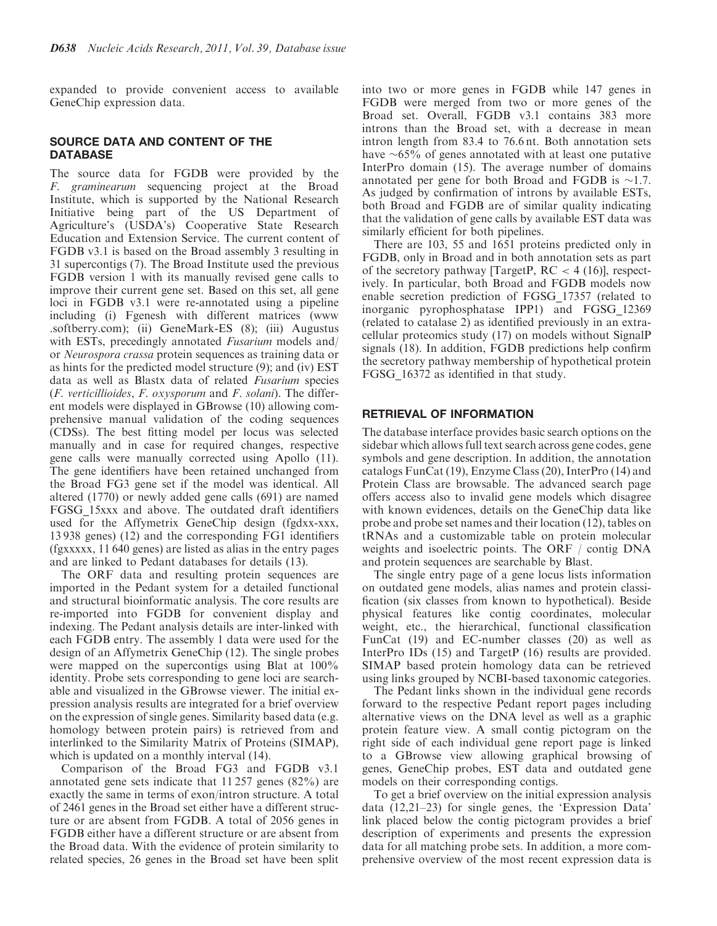expanded to provide convenient access to available GeneChip expression data.

## SOURCE DATA AND CONTENT OF THE **DATABASE**

The source data for FGDB were provided by the F. graminearum sequencing project at the Broad Institute, which is supported by the National Research Initiative being part of the US Department of Agriculture's (USDA's) Cooperative State Research Education and Extension Service. The current content of FGDB v3.1 is based on the Broad assembly 3 resulting in 31 supercontigs (7). The Broad Institute used the previous FGDB version 1 with its manually revised gene calls to improve their current gene set. Based on this set, all gene loci in FGDB v3.1 were re-annotated using a pipeline including (i) Fgenesh with different matrices (www .softberry.com); (ii) GeneMark-ES (8); (iii) Augustus with ESTs, precedingly annotated *Fusarium* models and/ or Neurospora crassa protein sequences as training data or as hints for the predicted model structure (9); and (iv) EST data as well as Blastx data of related Fusarium species (F. verticillioides, F. oxysporum and F. solani). The different models were displayed in GBrowse (10) allowing comprehensive manual validation of the coding sequences (CDSs). The best fitting model per locus was selected manually and in case for required changes, respective gene calls were manually corrected using Apollo (11). The gene identifiers have been retained unchanged from the Broad FG3 gene set if the model was identical. All altered (1770) or newly added gene calls (691) are named FGSG\_15xxx and above. The outdated draft identifiers used for the Affymetrix GeneChip design (fgdxx-xxx, 13 938 genes) (12) and the corresponding FG1 identifiers (fgxxxxx, 11 640 genes) are listed as alias in the entry pages and are linked to Pedant databases for details (13).

The ORF data and resulting protein sequences are imported in the Pedant system for a detailed functional and structural bioinformatic analysis. The core results are re-imported into FGDB for convenient display and indexing. The Pedant analysis details are inter-linked with each FGDB entry. The assembly 1 data were used for the design of an Affymetrix GeneChip (12). The single probes were mapped on the supercontigs using Blat at 100% identity. Probe sets corresponding to gene loci are searchable and visualized in the GBrowse viewer. The initial expression analysis results are integrated for a brief overview on the expression of single genes. Similarity based data (e.g. homology between protein pairs) is retrieved from and interlinked to the Similarity Matrix of Proteins (SIMAP), which is updated on a monthly interval (14).

Comparison of the Broad FG3 and FGDB v3.1 annotated gene sets indicate that 11 257 genes (82%) are exactly the same in terms of exon/intron structure. A total of 2461 genes in the Broad set either have a different structure or are absent from FGDB. A total of 2056 genes in FGDB either have a different structure or are absent from the Broad data. With the evidence of protein similarity to related species, 26 genes in the Broad set have been split into two or more genes in FGDB while 147 genes in FGDB were merged from two or more genes of the Broad set. Overall, FGDB v3.1 contains 383 more introns than the Broad set, with a decrease in mean intron length from 83.4 to 76.6 nt. Both annotation sets have  $\sim 65\%$  of genes annotated with at least one putative InterPro domain (15). The average number of domains annotated per gene for both Broad and FGDB is  $\sim$ 1.7. As judged by confirmation of introns by available ESTs, both Broad and FGDB are of similar quality indicating that the validation of gene calls by available EST data was similarly efficient for both pipelines.

There are 103, 55 and 1651 proteins predicted only in FGDB, only in Broad and in both annotation sets as part of the secretory pathway [TargetP,  $RC < 4$  (16)], respectively. In particular, both Broad and FGDB models now enable secretion prediction of FGSG\_17357 (related to inorganic pyrophosphatase IPP1) and FGSG\_12369 (related to catalase 2) as identified previously in an extracellular proteomics study (17) on models without SignalP signals (18). In addition, FGDB predictions help confirm the secretory pathway membership of hypothetical protein FGSG\_16372 as identified in that study.

### RETRIEVAL OF INFORMATION

The database interface provides basic search options on the sidebar which allows full text search across gene codes, gene symbols and gene description. In addition, the annotation catalogs FunCat (19), Enzyme Class (20), InterPro (14) and Protein Class are browsable. The advanced search page offers access also to invalid gene models which disagree with known evidences, details on the GeneChip data like probe and probe set names and their location (12), tables on tRNAs and a customizable table on protein molecular weights and isoelectric points. The ORF / contig DNA and protein sequences are searchable by Blast.

The single entry page of a gene locus lists information on outdated gene models, alias names and protein classification (six classes from known to hypothetical). Beside physical features like contig coordinates, molecular weight, etc., the hierarchical, functional classification FunCat (19) and EC-number classes (20) as well as InterPro IDs (15) and TargetP (16) results are provided. SIMAP based protein homology data can be retrieved using links grouped by NCBI-based taxonomic categories.

The Pedant links shown in the individual gene records forward to the respective Pedant report pages including alternative views on the DNA level as well as a graphic protein feature view. A small contig pictogram on the right side of each individual gene report page is linked to a GBrowse view allowing graphical browsing of genes, GeneChip probes, EST data and outdated gene models on their corresponding contigs.

To get a brief overview on the initial expression analysis data (12,21–23) for single genes, the 'Expression Data' link placed below the contig pictogram provides a brief description of experiments and presents the expression data for all matching probe sets. In addition, a more comprehensive overview of the most recent expression data is